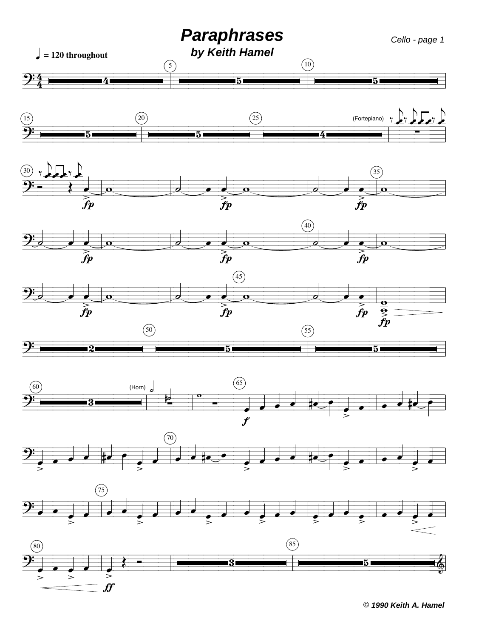

© 1990 Keith A. Hamel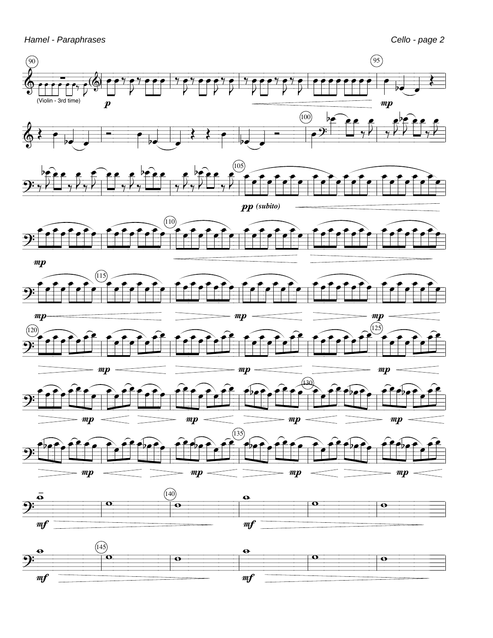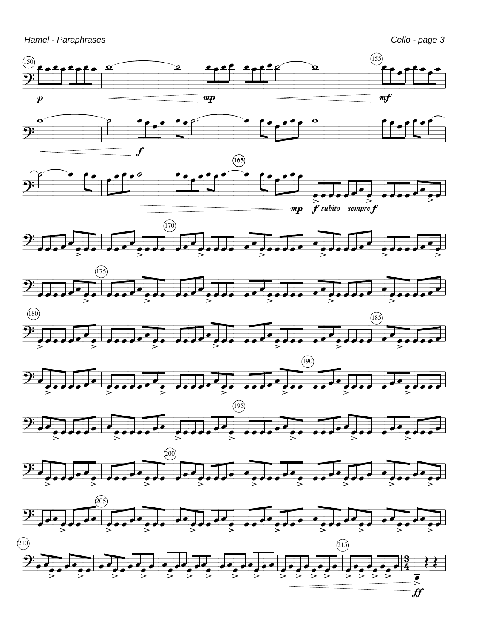